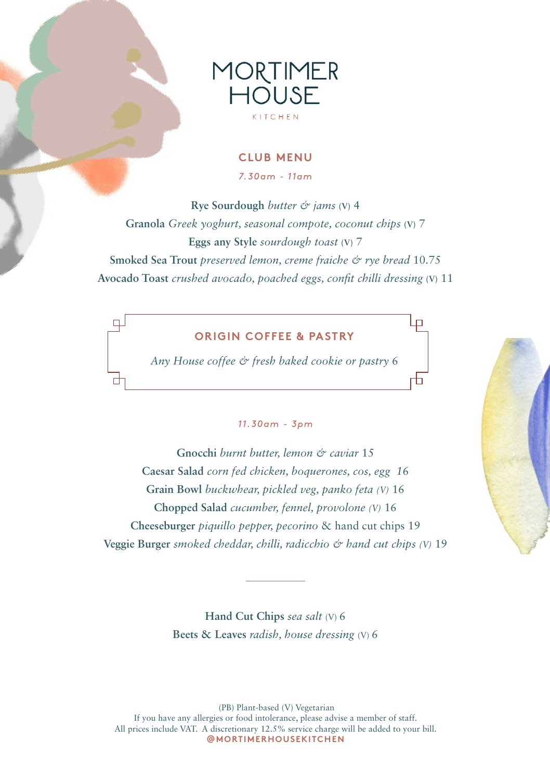

#### **CLUB MENU**

*7.30am - 11am*

**Rye Sourdough** *butter & jams* **(V)** 4 **Granola** *Greek yoghurt, seasonal compote, coconut chips* **(V)** 7 **Eggs any Style** *sourdough toast* **(V)** 7 **Smoked Sea Trout** *preserved lemon, creme fraiche & rye bread* 10.75 **Avocado Toast** *crushed avocado, poached eggs, confit chilli dressing* **(V)** 11

#### **ORIGIN COFFEE & PASTRY**

 $\Box$ 

*Any House coffee & fresh baked cookie or pastry* 6

#### *11.30am - 3pm*

**Gnocchi** *burnt butter, lemon & caviar* 15 **Caesar Salad** *corn fed chicken, boquerones, cos, egg 1*6 **Grain Bowl** *buckwhear, pickled veg, panko feta (V)* 16 **Chopped Salad** *cucumber, fennel, provolone (V)* 16 **Cheeseburger** *piquillo pepper, pecorino* & hand cut chips 19 **Veggie Burger** *smoked cheddar, chilli, radicchio & hand cut chips (V)* 19

> **Hand Cut Chips** *sea salt* (V) 6 **Beets & Leaves** *radish, house dressing* (V) 6

 (PB) Plant-based (V) Vegetarian If you have any allergies or food intolerance, please advise a member of staff. All prices include VAT. A discretionary 12.5% service charge will be added to your bill. **@MORTIMERHOUSEKITCHEN**



╊┓